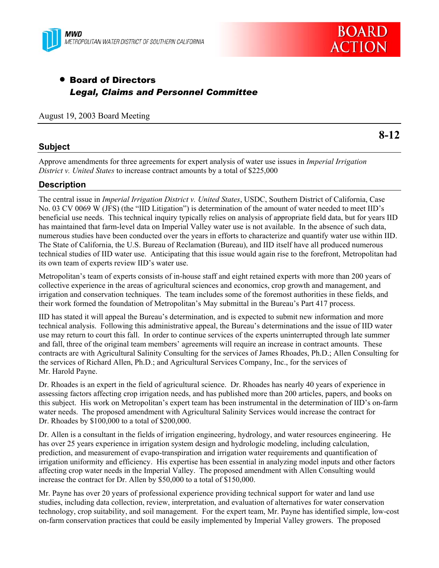



# • Board of Directors *Legal, Claims and Personnel Committee*

#### August 19, 2003 Board Meeting

## **Subject**

**8-12** 

Approve amendments for three agreements for expert analysis of water use issues in *Imperial Irrigation District v. United States* to increase contract amounts by a total of \$225,000

## **Description**

The central issue in *Imperial Irrigation District v. United States*, USDC, Southern District of California, Case No. 03 CV 0069 W (JFS) (the "IID Litigation") is determination of the amount of water needed to meet IID's beneficial use needs. This technical inquiry typically relies on analysis of appropriate field data, but for years IID has maintained that farm-level data on Imperial Valley water use is not available. In the absence of such data, numerous studies have been conducted over the years in efforts to characterize and quantify water use within IID. The State of California, the U.S. Bureau of Reclamation (Bureau), and IID itself have all produced numerous technical studies of IID water use. Anticipating that this issue would again rise to the forefront, Metropolitan had its own team of experts review IID's water use.

Metropolitan's team of experts consists of in-house staff and eight retained experts with more than 200 years of collective experience in the areas of agricultural sciences and economics, crop growth and management, and irrigation and conservation techniques. The team includes some of the foremost authorities in these fields, and their work formed the foundation of Metropolitan's May submittal in the Bureau's Part 417 process.

IID has stated it will appeal the Bureau's determination, and is expected to submit new information and more technical analysis. Following this administrative appeal, the Bureau's determinations and the issue of IID water use may return to court this fall. In order to continue services of the experts uninterrupted through late summer and fall, three of the original team members' agreements will require an increase in contract amounts. These contracts are with Agricultural Salinity Consulting for the services of James Rhoades, Ph.D.; Allen Consulting for the services of Richard Allen, Ph.D.; and Agricultural Services Company, Inc., for the services of Mr. Harold Payne.

Dr. Rhoades is an expert in the field of agricultural science. Dr. Rhoades has nearly 40 years of experience in assessing factors affecting crop irrigation needs, and has published more than 200 articles, papers, and books on this subject. His work on Metropolitan's expert team has been instrumental in the determination of IID's on-farm water needs. The proposed amendment with Agricultural Salinity Services would increase the contract for Dr. Rhoades by \$100,000 to a total of \$200,000.

Dr. Allen is a consultant in the fields of irrigation engineering, hydrology, and water resources engineering. He has over 25 years experience in irrigation system design and hydrologic modeling, including calculation, prediction, and measurement of evapo-transpiration and irrigation water requirements and quantification of irrigation uniformity and efficiency. His expertise has been essential in analyzing model inputs and other factors affecting crop water needs in the Imperial Valley. The proposed amendment with Allen Consulting would increase the contract for Dr. Allen by \$50,000 to a total of \$150,000.

Mr. Payne has over 20 years of professional experience providing technical support for water and land use studies, including data collection, review, interpretation, and evaluation of alternatives for water conservation technology, crop suitability, and soil management. For the expert team, Mr. Payne has identified simple, low-cost on-farm conservation practices that could be easily implemented by Imperial Valley growers. The proposed